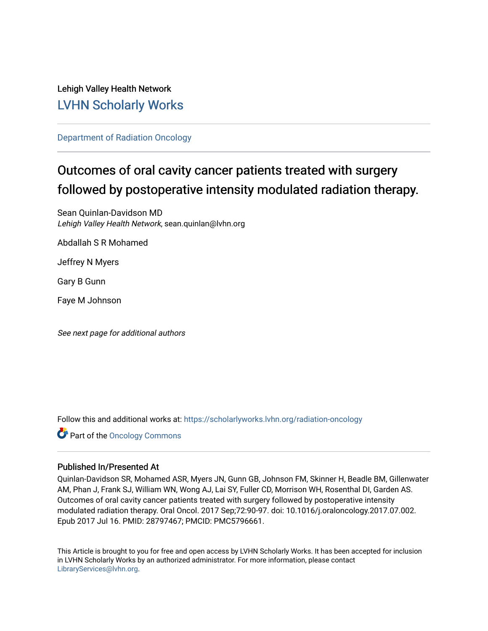## Lehigh Valley Health Network [LVHN Scholarly Works](https://scholarlyworks.lvhn.org/)

[Department of Radiation Oncology](https://scholarlyworks.lvhn.org/radiation-oncology)

# Outcomes of oral cavity cancer patients treated with surgery followed by postoperative intensity modulated radiation therapy.

Sean Quinlan-Davidson MD Lehigh Valley Health Network, sean.quinlan@lvhn.org

Abdallah S R Mohamed

Jeffrey N Myers

Gary B Gunn

Faye M Johnson

See next page for additional authors

Follow this and additional works at: [https://scholarlyworks.lvhn.org/radiation-oncology](https://scholarlyworks.lvhn.org/radiation-oncology?utm_source=scholarlyworks.lvhn.org%2Fradiation-oncology%2F5&utm_medium=PDF&utm_campaign=PDFCoverPages) 

**Part of the Oncology Commons** 

### Published In/Presented At

Quinlan-Davidson SR, Mohamed ASR, Myers JN, Gunn GB, Johnson FM, Skinner H, Beadle BM, Gillenwater AM, Phan J, Frank SJ, William WN, Wong AJ, Lai SY, Fuller CD, Morrison WH, Rosenthal DI, Garden AS. Outcomes of oral cavity cancer patients treated with surgery followed by postoperative intensity modulated radiation therapy. Oral Oncol. 2017 Sep;72:90-97. doi: 10.1016/j.oraloncology.2017.07.002. Epub 2017 Jul 16. PMID: 28797467; PMCID: PMC5796661.

This Article is brought to you for free and open access by LVHN Scholarly Works. It has been accepted for inclusion in LVHN Scholarly Works by an authorized administrator. For more information, please contact [LibraryServices@lvhn.org](mailto:LibraryServices@lvhn.org).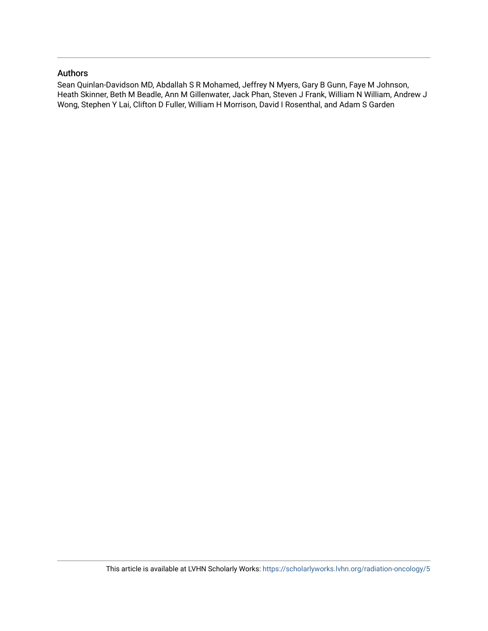### Authors

Sean Quinlan-Davidson MD, Abdallah S R Mohamed, Jeffrey N Myers, Gary B Gunn, Faye M Johnson, Heath Skinner, Beth M Beadle, Ann M Gillenwater, Jack Phan, Steven J Frank, William N William, Andrew J Wong, Stephen Y Lai, Clifton D Fuller, William H Morrison, David I Rosenthal, and Adam S Garden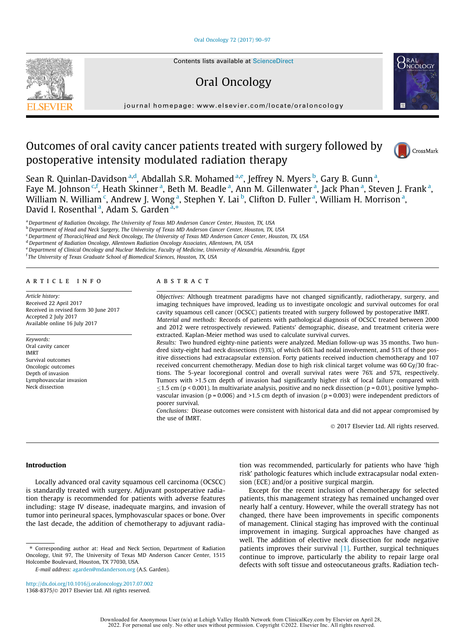#### [Oral Oncology 72 \(2017\) 90–97](http://dx.doi.org/10.1016/j.oraloncology.2017.07.002)



## Oral Oncology



journal homepage: [www.elsevier.com/locate/oraloncology](http://www.elsevier.com/locate/oraloncology)

### Outcomes of oral cavity cancer patients treated with surgery followed by postoperative intensity modulated radiation therapy



Sean R. Quinlan-Davidson <sup>a,d</sup>, Abdallah S.R. Mohamed <sup>a,e</sup>, Jeffrey N. Myers <sup>b</sup>, Gary B. Gunn <sup>a</sup>, Faye M. Johnson <sup>c,f</sup>, Heath Skinner <sup>a</sup>, Beth M. Beadle <sup>a</sup>, Ann M. Gillenwater <sup>a</sup>, Jack Phan <sup>a</sup>, Steven J. Frank <sup>a</sup>, William N. William  $\lq$ , Andrew J. Wong <sup>a</sup>, Stephen Y. Lai <sup>b</sup>, Clifton D. Fuller <sup>a</sup>, William H. Morrison <sup>a</sup>, David I. Rosenthal <sup>a</sup>, Adam S. Garden <sup>a,</sup>\*

<sup>a</sup> Department of Radiation Oncology, The University of Texas MD Anderson Cancer Center, Houston, TX, USA

<sup>b</sup> Department of Head and Neck Surgery, The University of Texas MD Anderson Cancer Center, Houston, TX, USA

<sup>c</sup> Department of Thoracic/Head and Neck Oncology, The University of Texas MD Anderson Cancer Center, Houston, TX, USA

<sup>d</sup> Department of Radiation Oncology, Allentown Radiation Oncology Associates, Allentown, PA, USA

e Department of Clinical Oncology and Nuclear Medicine, Faculty of Medicine, University of Alexandria, Alexandria, Egypt

<sup>f</sup> The University of Texas Graduate School of Biomedical Sciences, Houston, TX, USA

#### ARTICLE INFO

Article history: Received 22 April 2017 Received in revised form 30 June 2017 Accepted 2 July 2017 Available online 16 July 2017

Keywords: Oral cavity cancer IMRT Survival outcomes Oncologic outcomes Depth of invasion Lymphovascular invasion Neck dissection

#### ABSTRACT

Objectives: Although treatment paradigms have not changed significantly, radiotherapy, surgery, and imaging techniques have improved, leading us to investigate oncologic and survival outcomes for oral cavity squamous cell cancer (OCSCC) patients treated with surgery followed by postoperative IMRT. Material and methods: Records of patients with pathological diagnosis of OCSCC treated between 2000 and 2012 were retrospectively reviewed. Patients' demographic, disease, and treatment criteria were extracted. Kaplan-Meier method was used to calculate survival curves.

Results: Two hundred eighty-nine patients were analyzed. Median follow-up was 35 months. Two hundred sixty-eight had neck dissections (93%), of which 66% had nodal involvement, and 51% of those positive dissections had extracapsular extension. Forty patients received induction chemotherapy and 107 received concurrent chemotherapy. Median dose to high risk clinical target volume was 60 Gy/30 fractions. The 5-year locoregional control and overall survival rates were 76% and 57%, respectively. Tumors with >1.5 cm depth of invasion had significantly higher risk of local failure compared with  $\leq$ 1.5 cm (p < 0.001). In multivariate analysis, positive and no neck dissection (p = 0.01), positive lymphovascular invasion ( $p = 0.006$ ) and  $>1.5$  cm depth of invasion ( $p = 0.003$ ) were independent predictors of poorer survival.

Conclusions: Disease outcomes were consistent with historical data and did not appear compromised by the use of IMRT.

2017 Elsevier Ltd. All rights reserved.

#### Introduction

Locally advanced oral cavity squamous cell carcinoma (OCSCC) is standardly treated with surgery. Adjuvant postoperative radiation therapy is recommended for patients with adverse features including: stage IV disease, inadequate margins, and invasion of tumor into perineural spaces, lymphovascular spaces or bone. Over the last decade, the addition of chemotherapy to adjuvant radia-

E-mail address: [agarden@mdanderson.org](mailto:agarden@mdanderson.org) (A.S. Garden).

tion was recommended, particularly for patients who have 'high risk' pathologic features which include extracapsular nodal extension (ECE) and/or a positive surgical margin.

Except for the recent inclusion of chemotherapy for selected patients, this management strategy has remained unchanged over nearly half a century. However, while the overall strategy has not changed, there have been improvements in specific components of management. Clinical staging has improved with the continual improvement in imaging. Surgical approaches have changed as well. The addition of elective neck dissection for node negative patients improves their survival [\[1\].](#page-9-0) Further, surgical techniques continue to improve, particularly the ability to repair large oral defects with soft tissue and osteocutaneous grafts. Radiation tech-

<sup>⇑</sup> Corresponding author at: Head and Neck Section, Department of Radiation Oncology, Unit 97, The University of Texas MD Anderson Cancer Center, 1515 Holcombe Boulevard, Houston, TX 77030, USA.

<http://dx.doi.org/10.1016/j.oraloncology.2017.07.002> 1368-8375/© 2017 Elsevier Ltd. All rights reserved.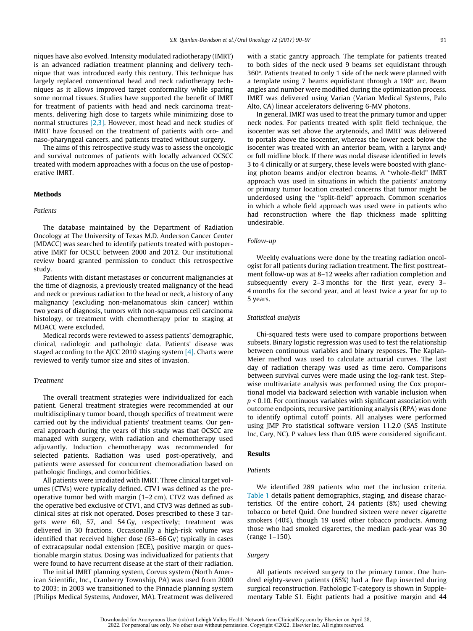niques have also evolved. Intensity modulated radiotherapy (IMRT) is an advanced radiation treatment planning and delivery technique that was introduced early this century. This technique has largely replaced conventional head and neck radiotherapy techniques as it allows improved target conformality while sparing some normal tissues. Studies have supported the benefit of IMRT for treatment of patients with head and neck carcinoma treatments, delivering high dose to targets while minimizing dose to normal structures [\[2,3\]](#page-9-0). However, most head and neck studies of IMRT have focused on the treatment of patients with oro- and naso-pharyngeal cancers, and patients treated without surgery.

The aims of this retrospective study was to assess the oncologic and survival outcomes of patients with locally advanced OCSCC treated with modern approaches with a focus on the use of postoperative IMRT.

#### **Methods**

#### Patients

The database maintained by the Department of Radiation Oncology at The University of Texas M.D. Anderson Cancer Center (MDACC) was searched to identify patients treated with postoperative IMRT for OCSCC between 2000 and 2012. Our institutional review board granted permission to conduct this retrospective study.

Patients with distant metastases or concurrent malignancies at the time of diagnosis, a previously treated malignancy of the head and neck or previous radiation to the head or neck, a history of any malignancy (excluding non-melanomatous skin cancer) within two years of diagnosis, tumors with non-squamous cell carcinoma histology, or treatment with chemotherapy prior to staging at MDACC were excluded.

Medical records were reviewed to assess patients' demographic, clinical, radiologic and pathologic data. Patients' disease was staged according to the AJCC 2010 staging system [\[4\].](#page-9-0) Charts were reviewed to verify tumor size and sites of invasion.

#### Treatment

The overall treatment strategies were individualized for each patient. General treatment strategies were recommended at our multidisciplinary tumor board, though specifics of treatment were carried out by the individual patients' treatment teams. Our general approach during the years of this study was that OCSCC are managed with surgery, with radiation and chemotherapy used adjuvantly. Induction chemotherapy was recommended for selected patients. Radiation was used post-operatively, and patients were assessed for concurrent chemoradiation based on pathologic findings, and comorbidities.

All patients were irradiated with IMRT. Three clinical target volumes (CTVs) were typically defined. CTV1 was defined as the preoperative tumor bed with margin (1–2 cm). CTV2 was defined as the operative bed exclusive of CTV1, and CTV3 was defined as subclinical sites at risk not operated. Doses prescribed to these 3 targets were 60, 57, and 54 Gy, respectively; treatment was delivered in 30 fractions. Occasionally a high-risk volume was identified that received higher dose (63–66 Gy) typically in cases of extracapsular nodal extension (ECE), positive margin or questionable margin status. Dosing was individualized for patients that were found to have recurrent disease at the start of their radiation.

The initial IMRT planning system, Corvus system (North American Scientific, Inc., Cranberry Township, PA) was used from 2000 to 2003; in 2003 we transitioned to the Pinnacle planning system (Philips Medical Systems, Andover, MA). Treatment was delivered with a static gantry approach. The template for patients treated to both sides of the neck used 9 beams set equidistant through 360. Patients treated to only 1 side of the neck were planned with a template using 7 beams equidistant through a  $190^\circ$  arc. Beam angles and number were modified during the optimization process. IMRT was delivered using Varian (Varian Medical Systems, Palo Alto, CA) linear accelerators delivering 6-MV photons.

In general, IMRT was used to treat the primary tumor and upper neck nodes. For patients treated with split field technique, the isocenter was set above the arytenoids, and IMRT was delivered to portals above the isocenter, whereas the lower neck below the isocenter was treated with an anterior beam, with a larynx and/ or full midline block. If there was nodal disease identified in levels 3 to 4 clinically or at surgery, these levels were boosted with glancing photon beams and/or electron beams. A ''whole-field" IMRT approach was used in situations in which the patients' anatomy or primary tumor location created concerns that tumor might be underdosed using the ''split-field" approach. Common scenarios in which a whole field approach was used were in patients who had reconstruction where the flap thickness made splitting undesirable.

#### Follow-up

Weekly evaluations were done by the treating radiation oncologist for all patients during radiation treatment. The first posttreatment follow-up was at 8–12 weeks after radiation completion and subsequently every 2–3 months for the first year, every 3– 4 months for the second year, and at least twice a year for up to 5 years.

#### Statistical analysis

Chi-squared tests were used to compare proportions between subsets. Binary logistic regression was used to test the relationship between continuous variables and binary responses. The Kaplan-Meier method was used to calculate actuarial curves. The last day of radiation therapy was used as time zero. Comparisons between survival curves were made using the log-rank test. Stepwise multivariate analysis was performed using the Cox proportional model via backward selection with variable inclusion when  $p < 0.10$ . For continuous variables with significant association with outcome endpoints, recursive partitioning analysis (RPA) was done to identify optimal cutoff points. All analyses were performed using JMP Pro statistical software version 11.2.0 (SAS Institute Inc, Cary, NC). P values less than 0.05 were considered significant.

#### Results

#### Patients

We identified 289 patients who met the inclusion criteria. [Table 1](#page-4-0) details patient demographics, staging, and disease characteristics. Of the entire cohort, 24 patients (8%) used chewing tobacco or betel Quid. One hundred sixteen were never cigarette smokers (40%), though 19 used other tobacco products. Among those who had smoked cigarettes, the median pack-year was 30 (range 1–150).

#### Surgery

All patients received surgery to the primary tumor. One hundred eighty-seven patients (65%) had a free flap inserted during surgical reconstruction. Pathologic T-category is shown in Supplementary Table S1. Eight patients had a positive margin and 44

Downloaded for Anonymous User (n/a) at Lehigh Valley Health Network from ClinicalKey.com by Elsevier on April 28, 2022. For personal use only. No other uses without permission. Copyright ©2022. Elsevier Inc. All rights reserved.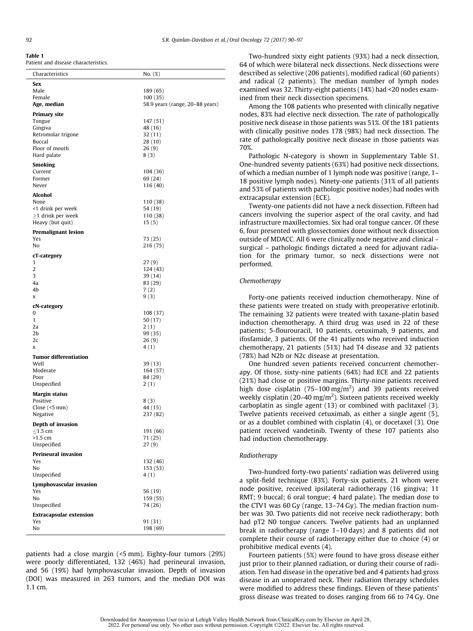<span id="page-4-0"></span>

|--|

Patient and disease characteristics.

| Characteristics                    | No. (%)                                     |
|------------------------------------|---------------------------------------------|
| Sex                                |                                             |
| Male                               | 189 (65)                                    |
| Female<br>Age, median              | 100 (35)<br>58.9 years (range, 20–88 years) |
|                                    |                                             |
| <b>Primary site</b><br>Tongue      | 147 (51)                                    |
| Gingiva                            | 48 (16)                                     |
| Retromolar trigone                 | 32 (11)                                     |
| Buccal                             | 28 (10)                                     |
| Floor of mouth                     | 26(9)                                       |
| Hard palate                        | 8(3)                                        |
| <b>Smoking</b>                     |                                             |
| Current                            | 104 (36)                                    |
| Former<br>Never                    | 69 (24)                                     |
|                                    | 116 (40)                                    |
| Alcohol                            |                                             |
| None<br><1 drink per week          | 110 (38)<br>54 (19)                         |
| $\geq$ 1 drink per week            | 110 (38)                                    |
| Heavy (but quit)                   | 15(5)                                       |
| <b>Premalignant lesion</b>         |                                             |
| Yes                                | 73 (25)                                     |
| No                                 | 216 (75)                                    |
| cT-category                        |                                             |
| 1                                  | 27(9)                                       |
| $\overline{2}$                     | 124 (43)                                    |
| 3                                  | 39 (14)                                     |
| 4a                                 | 83 (29)                                     |
| 4b                                 | 7(2)                                        |
| x                                  | 9(3)                                        |
| cN-category                        |                                             |
| 0                                  | 108 (37)                                    |
| $\mathbf{1}$<br>2a                 | 50 (17)<br>2(1)                             |
| 2b                                 | 99 (35)                                     |
| 2c                                 | 26(9)                                       |
| X                                  | 4 (1)                                       |
| <b>Tumor differentiation</b>       |                                             |
| Well                               | 39 (13)                                     |
| Moderate                           | 164 (57)                                    |
| Poor                               | 84 (29)                                     |
| Unspecified                        | 2(1)                                        |
| <b>Margin status</b>               |                                             |
| Positive                           | 8(3)                                        |
| Close $($ <5 mm $)$<br>Negative    | 44 (15)<br>237 (82)                         |
|                                    |                                             |
| Depth of invasion<br>$\leq$ 1.5 cm |                                             |
| $>1.5$ cm                          | 191 (66)<br>71 (25)                         |
| Unspecified                        | 27(9)                                       |
| <b>Perineural invasion</b>         |                                             |
| Yes                                | 132 (46)                                    |
| No                                 | 153 (53)                                    |
| Unspecified                        | 4(1)                                        |
| Lymphovascular invasion            |                                             |
| Yes                                | 56 (19)                                     |
| No                                 | 159 (55)                                    |
| Unspecified                        | 74 (26)                                     |
| <b>Extracapsular extension</b>     |                                             |
| Yes                                | 91 (31)                                     |
| No                                 | 198 (69)                                    |

patients had a close margin (<5 mm). Eighty-four tumors (29%) were poorly differentiated, 132 (46%) had perineural invasion, and 56 (19%) had lymphovascular invasion. Depth of invasion (DOI) was measured in 263 tumors, and the median DOI was 1.1 cm.

Two-hundred sixty eight patients (93%) had a neck dissection, 64 of which were bilateral neck dissections. Neck dissections were described as selective (206 patients), modified radical (60 patients) and radical (2 patients). The median number of lymph nodes examined was 32. Thirty-eight patients (14%) had <20 nodes examined from their neck dissection specimens.

Among the 108 patients who presented with clinically negative nodes, 83% had elective neck dissection. The rate of pathologically positive neck disease in those patients was 51%. Of the 181 patients with clinically positive nodes 178 (98%) had neck dissection. The rate of pathologically positive neck disease in those patients was 70%.

Pathologic N-category is shown in Supplementary Table S1. One-hundred seventy patients (63%) had positive neck dissections, of which a median number of 1 lymph node was positive (range, 1– 18 positive lymph nodes). Ninety-one patients (31% of all patients and 53% of patients with pathologic positive nodes) had nodes with extracapsular extension (ECE).

Twenty-one patients did not have a neck dissection. Fifteen had cancers involving the superior aspect of the oral cavity, and had infrastructure maxillectomies. Six had oral tongue cancer. Of these 6, four presented with glossectomies done without neck dissection outside of MDACC. All 6 were clinically node negative and clinical – surgical – pathologic findings dictated a need for adjuvant radiation for the primary tumor, so neck dissections were not performed.

#### Chemotherapy

Forty-one patients received induction chemotherapy. Nine of these patients were treated on study with preoperative erlotinib. The remaining 32 patients were treated with taxane-platin based induction chemotherapy. A third drug was used in 22 of these patients; 5-flourouracil, 10 patients, cetuximab, 9 patients, and ifosfamide, 3 patients. Of the 41 patients who received induction chemotherapy, 21 patients (51%) had T4 disease and 32 patients (78%) had N2b or N2c disease at presentation.

One hundred seven patients received concurrent chemotherapy. Of those, sixty-nine patients (64%) had ECE and 22 patients (21%) had close or positive margins. Thirty-nine patients received high dose cisplatin (75–100 mg/m<sup>2</sup>) and 39 patients received weekly cisplatin (20–40 mg/m<sup>2</sup>). Sixteen patients received weekly carboplatin as single agent (13) or combined with paclitaxel (3). Twelve patients received cetuximab, as either a single agent (5), or as a doublet combined with cisplatin (4), or docetaxel (3). One patient received vandetinib. Twenty of these 107 patients also had induction chemotherapy.

#### Radiotherapy

Two-hundred forty-two patients' radiation was delivered using a split-field technique (83%). Forty-six patients, 21 whom were node positive, received ipsilateral radiotherapy (16 gingiva; 11 RMT; 9 buccal; 6 oral tongue; 4 hard palate). The median dose to the CTV1 was 60 Gy (range, 13–74 Gy). The median fraction number was 30. Two patients did not receive neck radiotherapy; both had pT2 N0 tongue cancers. Twelve patients had an unplanned break in radiotherapy (range 1–10 days) and 8 patients did not complete their course of radiotherapy either due to choice (4) or prohibitive medical events (4).

Fourteen patients (5%) were found to have gross disease either just prior to their planned radiation, or during their course of radiation. Ten had disease in the operative bed and 4 patients had gross disease in an unoperated neck. Their radiation therapy schedules were modified to address these findings. Eleven of these patients' gross disease was treated to doses ranging from 66 to 74 Gy. One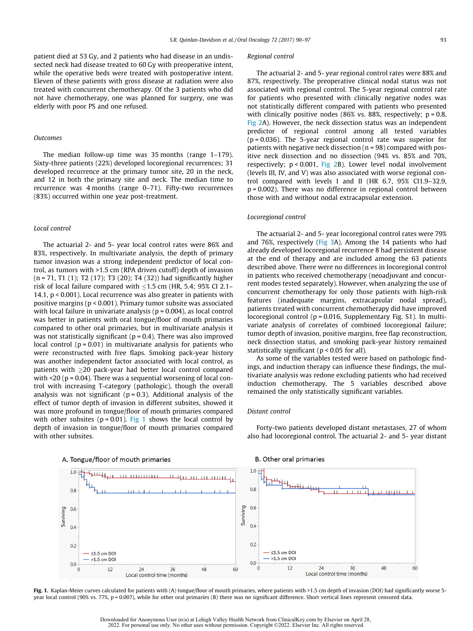patient died at 53 Gy, and 2 patients who had disease in an undissected neck had disease treated to 60 Gy with preoperative intent, while the operative beds were treated with postoperative intent. Eleven of these patients with gross disease at radiation were also treated with concurrent chemotherapy. Of the 3 patients who did not have chemotherapy, one was planned for surgery, one was elderly with poor PS and one refused.

#### Outcomes

The median follow-up time was 35 months (range 1–179). Sixty-three patients (22%) developed locoregional recurrences; 31 developed recurrence at the primary tumor site, 20 in the neck, and 12 in both the primary site and neck. The median time to recurrence was 4 months (range 0–71). Fifty-two recurrences (83%) occurred within one year post-treatment.

#### Local control

The actuarial 2- and 5- year local control rates were 86% and 83%, respectively. In multivariate analysis, the depth of primary tumor invasion was a strong independent predictor of local control, as tumors with >1.5 cm (RPA driven cutoff) depth of invasion (n = 71, T1 (1); T2 (17); T3 (20); T4 (32)) had significantly higher risk of local failure compared with  $\leq$ 1.5 cm (HR, 5.4; 95% CI 2.1– 14.1, p < 0.001). Local recurrence was also greater in patients with positive margins (p < 0.001). Primary tumor subsite was associated with local failure in univariate analysis ( $p = 0.004$ ), as local control was better in patients with oral tongue/floor of mouth primaries compared to other oral primaries, but in multivariate analysis it was not statistically significant ( $p = 0.4$ ). There was also improved local control  $(p = 0.01)$  in multivariate analysis for patients who were reconstructed with free flaps. Smoking pack-year history was another independent factor associated with local control, as patients with  $\geq$ 20 pack-year had better local control compared with  $\leq$ 20 (p = 0.04). There was a sequential worsening of local control with increasing T-category (pathologic), though the overall analysis was not significant ( $p = 0.3$ ). Additional analysis of the effect of tumor depth of invasion in different subsites, showed it was more profound in tongue/floor of mouth primaries compared with other subsites ( $p = 0.01$ ). Fig 1 shows the local control by depth of invasion in tongue/floor of mouth primaries compared with other subsites.

#### Regional control

The actuarial 2- and 5- year regional control rates were 88% and 87%, respectively. The preoperative clinical nodal status was not associated with regional control. The 5-year regional control rate for patients who presented with clinically negative nodes was not statistically different compared with patients who presented with clinically positive nodes (86% vs. 88%, respectively;  $p = 0.8$ , [Fig 2](#page-6-0)A). However, the neck dissection status was an independent predictor of regional control among all tested variables (p = 0.036). The 5-year regional control rate was superior for patients with negative neck dissection (n = 98) compared with positive neck dissection and no dissection (94% vs. 85% and 70%, respectively; p < 0.001, [Fig 2](#page-6-0)B). Lower level nodal involvement (levels III, IV, and V) was also associated with worse regional control compared with levels I and II (HR 6.7, 95% CI1.9–32.9, p = 0.002). There was no difference in regional control between those with and without nodal extracapsular extension.

#### Locoregional control

The actuarial 2- and 5- year locoregional control rates were 79% and 76%, respectively [\(Fig 3A](#page-6-0)). Among the 14 patients who had already developed locoregional recurrence 8 had persistent disease at the end of therapy and are included among the 63 patients described above. There were no differences in locoregional control in patients who received chemotherapy (neoadjuvant and concurrent modes tested separately). However, when analyzing the use of concurrent chemotherapy for only those patients with high-risk features (inadequate margins, extracapsular nodal spread), patients treated with concurrent chemotherapy did have improved locoregional control (p = 0.016, Supplementary Fig. S1). In multivariate analysis of correlates of combined locoregional failure; tumor depth of invasion, positive margins, free flap reconstruction, neck dissection status, and smoking pack-year history remained statistically significant ( $p < 0.05$  for all).

As some of the variables tested were based on pathologic findings, and induction therapy can influence these findings, the multivariate analysis was redone excluding patients who had received induction chemotherapy. The 5 variables described above remained the only statistically significant variables.

#### Distant control

Forty-two patients developed distant metastases, 27 of whom also had locoregional control. The actuarial 2- and 5- year distant



#### A. Tongue/floor of mouth primaries

Fig. 1. Kaplan-Meier curves calculated for patients with (A) tongue/floor of mouth primaries, where patients with >1.5 cm depth of invasion (DOI) had significantly worse 5year local control (90% vs. 77%, p = 0.007), while for other oral primaries (B) there was no significant difference. Short vertical lines represent censored data.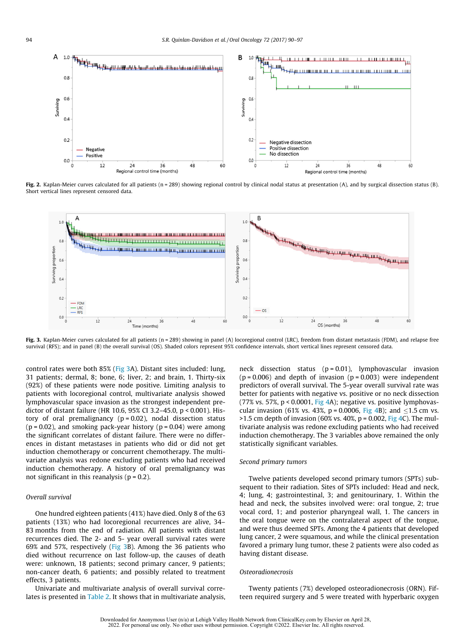<span id="page-6-0"></span>

Fig. 2. Kaplan-Meier curves calculated for all patients (n = 289) showing regional control by clinical nodal status at presentation (A), and by surgical dissection status (B). Short vertical lines represent censored data.



Fig. 3. Kaplan-Meier curves calculated for all patients (n = 289) showing in panel (A) locoregional control (LRC), freedom from distant metastasis (FDM), and relapse free survival (RFS); and in panel (B) the overall survival (OS). Shaded colors represent 95% confidence intervals, short vertical lines represent censored data.

control rates were both 85% (Fig 3A). Distant sites included: lung, 31 patients; dermal, 8; bone, 6; liver, 2; and brain, 1. Thirty-six (92%) of these patients were node positive. Limiting analysis to patients with locoregional control, multivariate analysis showed lymphovascular space invasion as the strongest independent predictor of distant failure (HR 10.6, 95% CI 3.2–45.0, p < 0.001). History of oral premalignancy ( $p = 0.02$ ), nodal dissection status  $(p = 0.02)$ , and smoking pack-year history  $(p = 0.04)$  were among the significant correlates of distant failure. There were no differences in distant metastases in patients who did or did not get induction chemotherapy or concurrent chemotherapy. The multivariate analysis was redone excluding patients who had received induction chemotherapy. A history of oral premalignancy was not significant in this reanalysis ( $p = 0.2$ ).

#### Overall survival

One hundred eighteen patients (41%) have died. Only 8 of the 63 patients (13%) who had locoregional recurrences are alive, 34– 83 months from the end of radiation. All patients with distant recurrences died. The 2- and 5- year overall survival rates were 69% and 57%, respectively (Fig 3B). Among the 36 patients who died without recurrence on last follow-up, the causes of death were: unknown, 18 patients; second primary cancer, 9 patients; non-cancer death, 6 patients; and possibly related to treatment effects, 3 patients.

Univariate and multivariate analysis of overall survival correlates is presented in [Table 2.](#page-7-0) It shows that in multivariate analysis,

neck dissection status  $(p = 0.01)$ , lymphovascular invasion  $(p = 0.006)$  and depth of invasion  $(p = 0.003)$  were independent predictors of overall survival. The 5-year overall survival rate was better for patients with negative vs. positive or no neck dissection (77% vs. 57%,  $p < 0.0001$ , [Fig 4A](#page-8-0)); negative vs. positive lymphovascular invasion (61% vs. 43%,  $p = 0.0006$ , [Fig 4B](#page-8-0)); and  $\leq 1.5$  cm vs.  $>1.5$  cm depth of invasion (60% vs. 40%, p = 0.002, [Fig 4C](#page-8-0)). The multivariate analysis was redone excluding patients who had received induction chemotherapy. The 3 variables above remained the only statistically significant variables.

#### Second primary tumors

Twelve patients developed second primary tumors (SPTs) subsequent to their radiation. Sites of SPTs included: Head and neck, 4; lung, 4; gastrointestinal, 3; and genitourinary, 1. Within the head and neck, the subsites involved were: oral tongue, 2; true vocal cord, 1; and posterior pharyngeal wall, 1. The cancers in the oral tongue were on the contralateral aspect of the tongue, and were thus deemed SPTs. Among the 4 patients that developed lung cancer, 2 were squamous, and while the clinical presentation favored a primary lung tumor, these 2 patients were also coded as having distant disease.

#### **Osteoradionecrosis**

Twenty patients (7%) developed osteoradionecrosis (ORN). Fifteen required surgery and 5 were treated with hyperbaric oxygen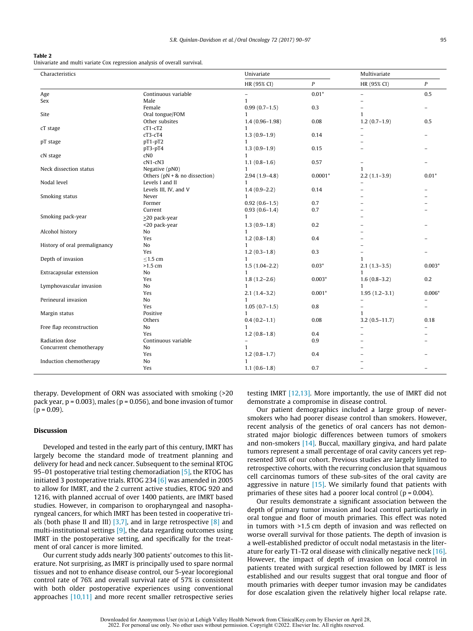#### <span id="page-7-0"></span>Table 2

Univariate and multi variate Cox regression analysis of overall survival.

| Characteristics               |                                 | Univariate         |                  | Multivariate             |                          |
|-------------------------------|---------------------------------|--------------------|------------------|--------------------------|--------------------------|
|                               |                                 | HR (95% CI)        | $\boldsymbol{P}$ | HR (95% CI)              | $\boldsymbol{P}$         |
| Age                           | Continuous variable             | $\qquad \qquad -$  | $0.01*$          | $\overline{a}$           | 0.5                      |
| Sex                           | Male                            | $\mathbf{1}$       |                  |                          |                          |
|                               | Female                          | $0.99(0.7-1.5)$    | 0.3              | $\overline{a}$           |                          |
| Site                          | Oral tongue/FOM                 | 1                  |                  | $\mathbf{1}$             |                          |
|                               | Other subsites                  | $1.4(0.96 - 1.98)$ | 0.08             | $1.2(0.7-1.9)$           | 0.5                      |
| cT stage                      | cT1-cT2                         | $\mathbf{1}$       |                  | $\overline{\phantom{0}}$ |                          |
|                               | cT3-cT4                         | $1.3(0.9-1.9)$     | 0.14             | $\overline{a}$           | $\overline{\phantom{0}}$ |
| pT stage                      | $pT1-pT2$                       | $\mathbf{1}$       |                  |                          |                          |
|                               | $pT3-pT4$                       | $1.3(0.9-1.9)$     | 0.15             | $\overline{ }$           |                          |
| cN stage                      | cN <sub>0</sub>                 | $\mathbf{1}$       |                  |                          |                          |
|                               | cN1-cN3                         | $1.1(0.8-1.6)$     | 0.57             | $\qquad \qquad -$        |                          |
| Neck dissection status        | Negative (pN0)                  | $\mathbf{1}$       |                  | $\mathbf{1}$             |                          |
|                               | Others $(pN + \&no$ dissection) | $2.94(1.9 - 4.8)$  | $0.0001*$        | $2.2(1.1-3.9)$           | $0.01*$                  |
| Nodal level                   | Levels I and II                 | 1                  |                  | $\overline{\phantom{0}}$ |                          |
|                               | Levels III, IV, and V           | $1.4(0.9-2.2)$     | 0.14             | $\overline{a}$           |                          |
| Smoking status                | Never                           | $\mathbf{1}$       |                  |                          |                          |
|                               | Former                          | $0.92(0.6-1.5)$    | 0.7              |                          |                          |
|                               | Current                         | $0.93(0.6-1.4)$    | 0.7              |                          |                          |
| Smoking pack-year             | $\geq$ 20 pack-year             | $\mathbf{1}$       |                  |                          |                          |
|                               | <20 pack-year                   | $1.3(0.9-1.8)$     | 0.2              |                          |                          |
| Alcohol history               | No                              | $\mathbf{1}$       |                  |                          |                          |
|                               | Yes                             | $1.2(0.8-1.8)$     | 0.4              |                          |                          |
| History of oral premalignancy | No                              | $\mathbf{1}$       |                  |                          |                          |
|                               | Yes                             | $1.2(0.3-1.8)$     | 0.3              |                          |                          |
| Depth of invasion             | $≤1.5$ cm                       | $\mathbf{1}$       |                  | $\mathbf{1}$             |                          |
|                               | $>1.5$ cm                       | $1.5(1.04-2.2)$    | $0.03*$          | $2.1(1.3-3.5)$           | $0.003*$                 |
| Extracapsular extension       | No                              | $\mathbf{1}$       |                  | $\mathbf{1}$             |                          |
|                               | Yes                             | $1.8(1.2 - 2.6)$   | $0.003*$         | $1.6(0.8-3.2)$           | 0.2                      |
| Lymphovascular invasion       | No                              | $\mathbf{1}$       |                  | $\mathbf{1}$             |                          |
|                               | Yes                             | $2.1(1.4-3.2)$     | $0.001*$         | $1.95(1.2-3.1)$          | $0.006*$                 |
| Perineural invasion           | No                              | $\mathbf{1}$       |                  | $\overline{\phantom{0}}$ |                          |
|                               | Yes                             | $1.05(0.7-1.5)$    | 0.8              |                          |                          |
| Margin status                 | Positive                        | $\mathbf{1}$       |                  | $\mathbf{1}$             |                          |
|                               | Others                          | $0.4(0.2-1.1)$     | 0.08             | $3.2(0.5 - 11.7)$        | 0.18                     |
| Free flap reconstruction      | No                              | $\mathbf{1}$       |                  | $\overline{a}$           |                          |
|                               | Yes                             | $1.2(0.8-1.8)$     | 0.4              |                          |                          |
| Radiation dose                | Continuous variable             | $\overline{a}$     | 0.9              |                          |                          |
| Concurrent chemotherapy       | No                              | 1                  |                  |                          |                          |
|                               | Yes                             | $1.2(0.8-1.7)$     | 0.4              |                          |                          |
| Induction chemotherapy        | No                              | $\mathbf{1}$       |                  |                          |                          |
|                               | Yes                             | $1.1(0.6-1.8)$     | 0.7              |                          |                          |
|                               |                                 |                    |                  |                          |                          |

therapy. Development of ORN was associated with smoking (>20 pack year,  $p = 0.003$ ), males ( $p = 0.056$ ), and bone invasion of tumor  $(p = 0.09)$ .

#### Discussion

Developed and tested in the early part of this century, IMRT has largely become the standard mode of treatment planning and delivery for head and neck cancer. Subsequent to the seminal RTOG 95–01 postoperative trial testing chemoradiation  $[5]$ , the RTOG has initiated 3 postoperative trials. RTOG 234  $[6]$  was amended in 2005 to allow for IMRT, and the 2 current active studies, RTOG 920 and 1216, with planned accrual of over 1400 patients, are IMRT based studies. However, in comparison to oropharyngeal and nasopharyngeal cancers, for which IMRT has been tested in cooperative trials (both phase II and III)  $[3,7]$ , and in large retrospective  $[8]$  and multi-institutional settings [\[9\],](#page-9-0) the data regarding outcomes using IMRT in the postoperative setting, and specifically for the treatment of oral cancer is more limited.

Our current study adds nearly 300 patients' outcomes to this literature. Not surprising, as IMRT is principally used to spare normal tissues and not to enhance disease control, our 5-year locoregional control rate of 76% and overall survival rate of 57% is consistent with both older postoperative experiences using conventional approaches [\[10,11\]](#page-9-0) and more recent smaller retrospective series testing IMRT [\[12,13\].](#page-9-0) More importantly, the use of IMRT did not demonstrate a compromise in disease control.

Our patient demographics included a large group of neversmokers who had poorer disease control than smokers. However, recent analysis of the genetics of oral cancers has not demonstrated major biologic differences between tumors of smokers and non-smokers [\[14\]](#page-9-0). Buccal, maxillary gingiva, and hard palate tumors represent a small percentage of oral cavity cancers yet represented 30% of our cohort. Previous studies are largely limited to retrospective cohorts, with the recurring conclusion that squamous cell carcinomas tumors of these sub-sites of the oral cavity are aggressive in nature  $[15]$ . We similarly found that patients with primaries of these sites had a poorer local control ( $p = 0.004$ ).

Our results demonstrate a significant association between the depth of primary tumor invasion and local control particularly in oral tongue and floor of mouth primaries. This effect was noted in tumors with >1.5 cm depth of invasion and was reflected on worse overall survival for those patients. The depth of invasion is a well-established predictor of occult nodal metastasis in the literature for early T1-T2 oral disease with clinically negative neck [\[16\].](#page-9-0) However, the impact of depth of invasion on local control in patients treated with surgical resection followed by IMRT is less established and our results suggest that oral tongue and floor of mouth primaries with deeper tumor invasion may be candidates for dose escalation given the relatively higher local relapse rate.

Downloaded for Anonymous User (n/a) at Lehigh Valley Health Network from ClinicalKey.com by Elsevier on April 28, 2022. For personal use only. No other uses without permission. Copyright ©2022. Elsevier Inc. All rights reserved.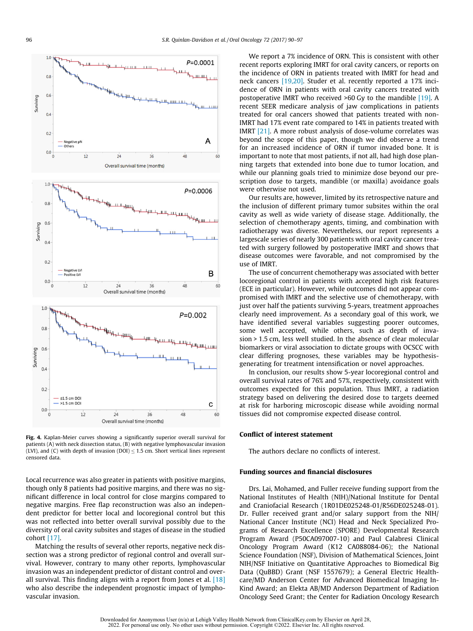<span id="page-8-0"></span>

Fig. 4. Kaplan-Meier curves showing a significantly superior overall survival for patients (A) with neck dissection status, (B) with negative lymphovascular invasion (LVI), and (C) with depth of invasion (DOI)  $\leq$  1.5 cm. Short vertical lines represent censored data.

Local recurrence was also greater in patients with positive margins, though only 8 patients had positive margins, and there was no significant difference in local control for close margins compared to negative margins. Free flap reconstruction was also an independent predictor for better local and locoregional control but this was not reflected into better overall survival possibly due to the diversity of oral cavity subsites and stages of disease in the studied cohort [\[17\]](#page-9-0).

Matching the results of several other reports, negative neck dissection was a strong predictor of regional control and overall survival. However, contrary to many other reports, lymphovascular invasion was an independent predictor of distant control and overall survival. This finding aligns with a report from Jones et al.  $[18]$ who also describe the independent prognostic impact of lymphovascular invasion.

We report a 7% incidence of ORN. This is consistent with other recent reports exploring IMRT for oral cavity cancers, or reports on the incidence of ORN in patients treated with IMRT for head and neck cancers [\[19,20\].](#page-9-0) Studer et al. recently reported a 17% incidence of ORN in patients with oral cavity cancers treated with postoperative IMRT who received >60 Gy to the mandible [\[19\]](#page-9-0). A recent SEER medicare analysis of jaw complications in patients treated for oral cancers showed that patients treated with non-IMRT had 17% event rate compared to 14% in patients treated with IMRT [\[21\].](#page-9-0) A more robust analysis of dose-volume correlates was beyond the scope of this paper, though we did observe a trend for an increased incidence of ORN if tumor invaded bone. It is important to note that most patients, if not all, had high dose planning targets that extended into bone due to tumor location, and while our planning goals tried to minimize dose beyond our prescription dose to targets, mandible (or maxilla) avoidance goals were otherwise not used.

Our results are, however, limited by its retrospective nature and the inclusion of different primary tumor subsites within the oral cavity as well as wide variety of disease stage. Additionally, the selection of chemotherapy agents, timing, and combination with radiotherapy was diverse. Nevertheless, our report represents a largescale series of nearly 300 patients with oral cavity cancer treated with surgery followed by postoperative IMRT and shows that disease outcomes were favorable, and not compromised by the use of IMRT.

The use of concurrent chemotherapy was associated with better locoregional control in patients with accepted high risk features (ECE in particular). However, while outcomes did not appear compromised with IMRT and the selective use of chemotherapy, with just over half the patients surviving 5-years, treatment approaches clearly need improvement. As a secondary goal of this work, we have identified several variables suggesting poorer outcomes, some well accepted, while others, such as depth of invasion > 1.5 cm, less well studied. In the absence of clear molecular biomarkers or viral association to dictate groups with OCSCC with clear differing prognoses, these variables may be hypothesisgenerating for treatment intensification or novel approaches.

In conclusion, our results show 5-year locoregional control and overall survival rates of 76% and 57%, respectively, consistent with outcomes expected for this population. Thus IMRT, a radiation strategy based on delivering the desired dose to targets deemed at risk for harboring microscopic disease while avoiding normal tissues did not compromise expected disease control.

#### Conflict of interest statement

The authors declare no conflicts of interest.

#### Funding sources and financial disclosures

Drs. Lai, Mohamed, and Fuller receive funding support from the National Institutes of Health (NIH)/National Institute for Dental and Craniofacial Research (1R01DE025248-01/R56DE025248-01). Dr. Fuller received grant and/or salary support from the NIH/ National Cancer Institute (NCI) Head and Neck Specialized Programs of Research Excellence (SPORE) Developmental Research Program Award (P50CA097007-10) and Paul Calabresi Clinical Oncology Program Award (K12 CA088084-06); the National Science Foundation (NSF), Division of Mathematical Sciences, Joint NIH/NSF Initiative on Quantitative Approaches to Biomedical Big Data (QuBBD) Grant (NSF 1557679); a General Electric Healthcare/MD Anderson Center for Advanced Biomedical Imaging In-Kind Award; an Elekta AB/MD Anderson Department of Radiation Oncology Seed Grant; the Center for Radiation Oncology Research